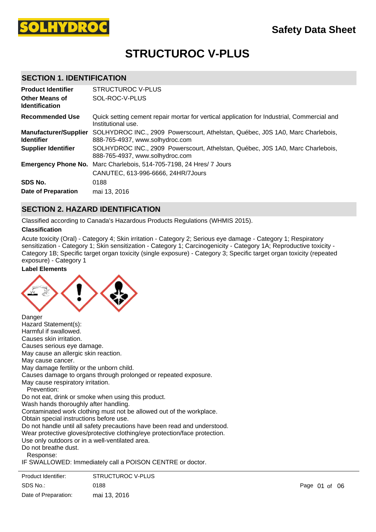

# **STRUCTUROC V-PLUS**

# **SECTION 1. IDENTIFICATION**

| <b>Product Identifier</b>                         | STRUCTUROC V-PLUS                                                                                                 |
|---------------------------------------------------|-------------------------------------------------------------------------------------------------------------------|
| <b>Other Means of</b><br><b>Identification</b>    | SOL-ROC-V-PLUS                                                                                                    |
| <b>Recommended Use</b>                            | Quick setting cement repair mortar for vertical application for Industrial, Commercial and<br>Institutional use.  |
| <b>Manufacturer/Supplier</b><br><b>Identifier</b> | SOLHYDROC INC., 2909 Powerscourt, Athelstan, Québec, J0S 1A0, Marc Charlebois,<br>888-765-4937, www.solhydroc.com |
| <b>Supplier Identifier</b>                        | SOLHYDROC INC., 2909 Powerscourt, Athelstan, Québec, J0S 1A0, Marc Charlebois,<br>888-765-4937, www.solhydroc.com |
| <b>Emergency Phone No.</b>                        | Marc Charlebois, 514-705-7198, 24 Hres/ 7 Jours                                                                   |
|                                                   | CANUTEC, 613-996-6666, 24HR/7Jours                                                                                |
| SDS No.                                           | 0188                                                                                                              |
| Date of Preparation                               | mai 13, 2016                                                                                                      |

# **SECTION 2. HAZARD IDENTIFICATION**

Classified according to Canada's Hazardous Products Regulations (WHMIS 2015).

#### **Classification**

Acute toxicity (Oral) - Category 4; Skin irritation - Category 2; Serious eye damage - Category 1; Respiratory sensitization - Category 1; Skin sensitization - Category 1; Carcinogenicity - Category 1A; Reproductive toxicity -Category 1B; Specific target organ toxicity (single exposure) - Category 3; Specific target organ toxicity (repeated exposure) - Category 1

# **Label Elements**



Danger Hazard Statement(s): Harmful if swallowed. Causes skin irritation. Causes serious eye damage. May cause an allergic skin reaction. May cause cancer. May damage fertility or the unborn child. Causes damage to organs through prolonged or repeated exposure. May cause respiratory irritation. Prevention: Do not eat, drink or smoke when using this product. Wash hands thoroughly after handling. Contaminated work clothing must not be allowed out of the workplace. Obtain special instructions before use. Do not handle until all safety precautions have been read and understood. Wear protective gloves/protective clothing/eye protection/face protection. Use only outdoors or in a well-ventilated area. Do not breathe dust. Response: IF SWALLOWED: Immediately call a POISON CENTRE or doctor. Rinse mouth.

| Product Identifier:  | STRUCTUROC V-PLUS |            |
|----------------------|-------------------|------------|
| SDS No.:             | 0188              | Page 01 of |
| Date of Preparation: | mai 13, 2016      |            |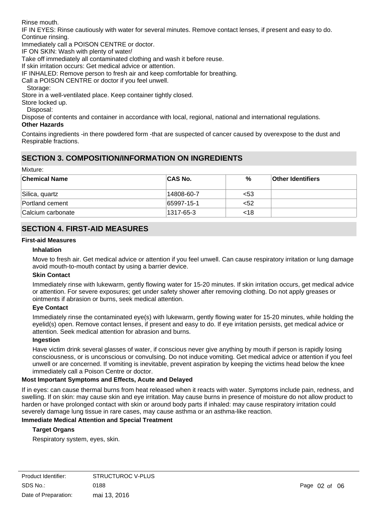Rinse mouth.

IF IN EYES: Rinse cautiously with water for several minutes. Remove contact lenses, if present and easy to do. Continue rinsing.

Immediately call a POISON CENTRE or doctor.

IF ON SKIN: Wash with plenty of water/

Take off immediately all contaminated clothing and wash it before reuse.

If skin irritation occurs: Get medical advice or attention.

IF INHALED: Remove person to fresh air and keep comfortable for breathing.

Call a POISON CENTRE or doctor if you feel unwell.

Storage:

Store in a well-ventilated place. Keep container tightly closed.

Store locked up.

Disposal:

Dispose of contents and container in accordance with local, regional, national and international regulations.

# **Other Hazards**

Contains ingredients -in there powdered form -that are suspected of cancer caused by overexpose to the dust and Respirable fractions.

# **SECTION 3. COMPOSITION/INFORMATION ON INGREDIENTS**

Mixture:

| ∣Chemical Name    | <b>CAS No.</b> | %    | <b>Other Identifiers</b> |
|-------------------|----------------|------|--------------------------|
| Silica, quartz    | 14808-60-7     | $53$ |                          |
| Portland cement   | $ 65997-15-1$  | $52$ |                          |
| Calcium carbonate | 1317-65-3      | ~18  |                          |

# **SECTION 4. FIRST-AID MEASURES**

## **First-aid Measures**

## **Inhalation**

Move to fresh air. Get medical advice or attention if you feel unwell. Can cause respiratory irritation or lung damage avoid mouth-to-mouth contact by using a barrier device.

#### **Skin Contact**

Immediately rinse with lukewarm, gently flowing water for 15-20 minutes. If skin irritation occurs, get medical advice or attention. For severe exposures; get under safety shower after removing clothing. Do not apply greases or ointments if abrasion or burns, seek medical attention.

# **Eye Contact**

Immediately rinse the contaminated eye(s) with lukewarm, gently flowing water for 15-20 minutes, while holding the eyelid(s) open. Remove contact lenses, if present and easy to do. If eye irritation persists, get medical advice or attention. Seek medical attention for abrasion and burns.

#### **Ingestion**

Have victim drink several glasses of water, if conscious never give anything by mouth if person is rapidly losing consciousness, or is unconscious or convulsing. Do not induce vomiting. Get medical advice or attention if you feel unwell or are concerned. If vomiting is inevitable, prevent aspiration by keeping the victims head below the knee immediately call a Poison Centre or doctor.

# **Most Important Symptoms and Effects, Acute and Delayed**

If in eyes: can cause thermal burns from heat released when it reacts with water. Symptoms include pain, redness, and swelling. If on skin: may cause skin and eye irritation. May cause burns in presence of moisture do not allow product to harden or have prolonged contact with skin or around body parts if inhaled: may cause respiratory irritation could severely damage lung tissue in rare cases, may cause asthma or an asthma-like reaction.

# **Immediate Medical Attention and Special Treatment**

# **Target Organs**

Respiratory system, eyes, skin.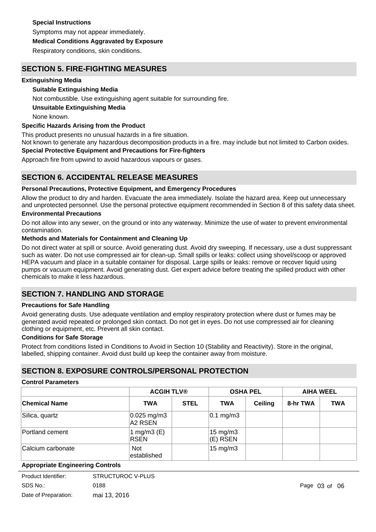# **Special Instructions**

Symptoms may not appear immediately.

#### **Medical Conditions Aggravated by Exposure**

Respiratory conditions, skin conditions.

# **SECTION 5. FIRE-FIGHTING MEASURES**

## **Extinguishing Media**

# **Suitable Extinguishing Media**

Not combustible. Use extinguishing agent suitable for surrounding fire.

## **Unsuitable Extinguishing Media**

None known.

## **Specific Hazards Arising from the Product**

This product presents no unusual hazards in a fire situation.

Not known to generate any hazardous decomposition products in a fire. may include but not limited to Carbon oxides.

# **Special Protective Equipment and Precautions for Fire-fighters**

Approach fire from upwind to avoid hazardous vapours or gases.

# **SECTION 6. ACCIDENTAL RELEASE MEASURES**

## **Personal Precautions, Protective Equipment, and Emergency Procedures**

Allow the product to dry and harden. Evacuate the area immediately. Isolate the hazard area. Keep out unnecessary and unprotected personnel. Use the personal protective equipment recommended in Section 8 of this safety data sheet.

#### **Environmental Precautions**

Do not allow into any sewer, on the ground or into any waterway. Minimize the use of water to prevent environmental contamination.

## **Methods and Materials for Containment and Cleaning Up**

Do not direct water at spill or source. Avoid generating dust. Avoid dry sweeping. If necessary, use a dust suppressant such as water. Do not use compressed air for clean-up. Small spills or leaks: collect using shovel/scoop or approved HEPA vacuum and place in a suitable container for disposal. Large spills or leaks: remove or recover liquid using pumps or vacuum equipment. Avoid generating dust. Get expert advice before treating the spilled product with other chemicals to make it less hazardous.

# **SECTION 7. HANDLING AND STORAGE**

#### **Precautions for Safe Handling**

Avoid generating dusts. Use adequate ventilation and employ respiratory protection where dust or fumes may be generated avoid repeated or prolonged skin contact. Do not get in eyes. Do not use compressed air for cleaning clothing or equipment, etc. Prevent all skin contact.

#### **Conditions for Safe Storage**

Protect from conditions listed in Conditions to Avoid in Section 10 (Stability and Reactivity). Store in the original, labelled, shipping container. Avoid dust build up keep the container away from moisture.

# **SECTION 8. EXPOSURE CONTROLS/PERSONAL PROTECTION**

#### **Control Parameters**

|                      | <b>ACGIH TLV®</b>             |             | <b>OSHA PEL</b>                   |                | <b>AIHA WEEL</b> |            |
|----------------------|-------------------------------|-------------|-----------------------------------|----------------|------------------|------------|
| <b>Chemical Name</b> | <b>TWA</b>                    | <b>STEL</b> | <b>TWA</b>                        | <b>Ceiling</b> | 8-hr TWA         | <b>TWA</b> |
| Silica, quartz       | $0.025$ mg/m3<br>A2 RSEN      |             | $0.1 \text{ mg/m}$ 3              |                |                  |            |
| Portland cement      | 1 mg/m $3$ (E)<br><b>RSEN</b> |             | $15 \text{ mg/m}$ 3<br>$ E $ RSEN |                |                  |            |
| Calcium carbonate    | <b>Not</b><br>established     |             | $15 \text{ mg/m}$ 3               |                |                  |            |

#### **Appropriate Engineering Controls**

| Product Identifier:  | STRUCTUROC V-PLUS |               |  |
|----------------------|-------------------|---------------|--|
| SDS No.:             | 0188              | Page 03 of 06 |  |
| Date of Preparation: | mai 13, 2016      |               |  |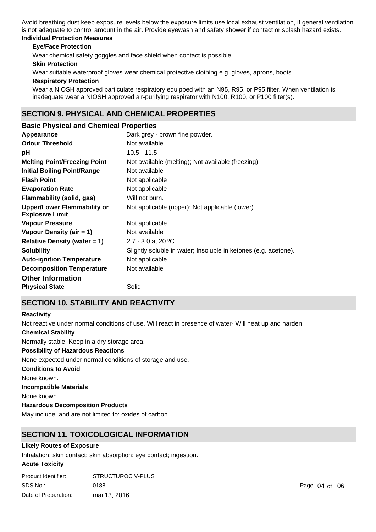Avoid breathing dust keep exposure levels below the exposure limits use local exhaust ventilation, if general ventilation is not adequate to control amount in the air. Provide eyewash and safety shower if contact or splash hazard exists.

# **Individual Protection Measures**

# **Eye/Face Protection**

Wear chemical safety goggles and face shield when contact is possible.

#### **Skin Protection**

Wear suitable waterproof gloves wear chemical protective clothing e.g. gloves, aprons, boots.

# **Respiratory Protection**

Wear a NIOSH approved particulate respiratory equipped with an N95, R95, or P95 filter. When ventilation is inadequate wear a NIOSH approved air-purifying respirator with N100, R100, or P100 filter(s).

# **SECTION 9. PHYSICAL AND CHEMICAL PROPERTIES**

# **Basic Physical and Chemical Properties**

| Appearance                                                   | Dark grey - brown fine powder.                                  |
|--------------------------------------------------------------|-----------------------------------------------------------------|
| <b>Odour Threshold</b>                                       | Not available                                                   |
| рH                                                           | $10.5 - 11.5$                                                   |
| <b>Melting Point/Freezing Point</b>                          | Not available (melting); Not available (freezing)               |
| <b>Initial Boiling Point/Range</b>                           | Not available                                                   |
| <b>Flash Point</b>                                           | Not applicable                                                  |
| <b>Evaporation Rate</b>                                      | Not applicable                                                  |
| <b>Flammability (solid, gas)</b>                             | Will not burn.                                                  |
| <b>Upper/Lower Flammability or</b><br><b>Explosive Limit</b> | Not applicable (upper); Not applicable (lower)                  |
| <b>Vapour Pressure</b>                                       | Not applicable                                                  |
| Vapour Density (air $= 1$ )                                  | Not available                                                   |
| <b>Relative Density (water = 1)</b>                          | 2.7 - 3.0 at 20 $^{\circ}$ C                                    |
| <b>Solubility</b>                                            | Slightly soluble in water; Insoluble in ketones (e.g. acetone). |
| <b>Auto-ignition Temperature</b>                             | Not applicable                                                  |
| <b>Decomposition Temperature</b>                             | Not available                                                   |
| <b>Other Information</b>                                     |                                                                 |
| <b>Physical State</b>                                        | Solid                                                           |

# **SECTION 10. STABILITY AND REACTIVITY**

# **Reactivity**

**Chemical Stability** Normally stable. Keep in a dry storage area. **Conditions to Avoid** None known. **Incompatible Materials** None known. **Hazardous Decomposition Products** May include ,and are not limited to: oxides of carbon. **Possibility of Hazardous Reactions** None expected under normal conditions of storage and use. Not reactive under normal conditions of use. Will react in presence of water- Will heat up and harden.

# **SECTION 11. TOXICOLOGICAL INFORMATION**

# **Likely Routes of Exposure**

Inhalation; skin contact; skin absorption; eye contact; ingestion.

#### **Acute Toxicity**

| Product Identifier:  | STRUCTUROC V-PLUS |               |  |
|----------------------|-------------------|---------------|--|
| SDS No.:             | 0188              | Page 04 of 06 |  |
| Date of Preparation: | mai 13, 2016      |               |  |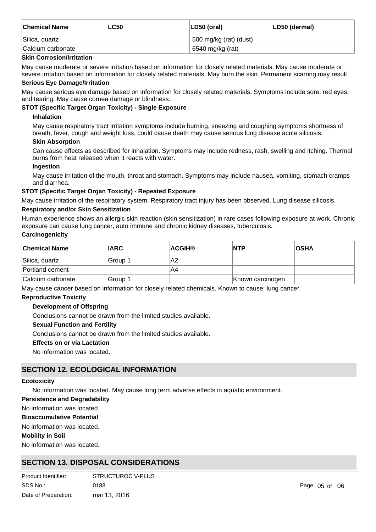| <b>Chemical Name</b> | <b>LC50</b> | $ LD50$ (oral)         | LD50 (dermal) |
|----------------------|-------------|------------------------|---------------|
| Silica, quartz       |             | 500 mg/kg (rat) (dust) |               |
| Calcium carbonate    |             | 6540 mg/kg (rat)       |               |

## **Skin Corrosion/Irritation**

May cause moderate or severe irritation based on information for closely related materials. May cause moderate or severe irritation based on information for closely related materials. May burn the skin. Permanent scarring may result.

#### **Serious Eye Damage/Irritation**

May cause serious eye damage based on information for closely related materials. Symptoms include sore, red eyes, and tearing. May cause cornea damage or blindness.

# **STOT (Specific Target Organ Toxicity) - Single Exposure**

#### **Inhalation**

May cause respiratory tract irritation symptoms include burning, sneezing and coughing symptoms shortness of breath, fever, cough and weight loss, could cause death may cause serious lung disease acute silicosis. **Skin Absorption**

Can cause effects as described for inhalation. Symptoms may include redness, rash, swelling and itching. Thermal burns from heat released when it reacts with water.

#### **Ingestion**

May cause irritation of the mouth, throat and stomach. Symptoms may include nausea, vomiting, stomach cramps and diarrhea.

## **STOT (Specific Target Organ Toxicity) - Repeated Exposure**

May cause irritation of the respiratory system. Respiratory tract injury has been observed. Lung disease silicosis.

## **Respiratory and/or Skin Sensitization**

Human experience shows an allergic skin reaction (skin sensitization) in rare cases following exposure at work. Chronic exposure can cause lung cancer, auto immune and chronic kidney diseases, tuberculosis. **Carcinogenicity**

| <b>Chemical Name</b>   | <b>IARC</b> | <b>ACGIH®</b> | <b>NTP</b>       | <b>OSHA</b> |
|------------------------|-------------|---------------|------------------|-------------|
| Silica, quartz         | Group 1     | A2            |                  |             |
| <b>Portland cement</b> |             | A4            |                  |             |
| Calcium carbonate      | lGroup 1    |               | Known carcinogen |             |

May cause cancer based on information for closely related chemicals. Known to cause: lung cancer.

#### **Reproductive Toxicity**

# **Development of Offspring**

Conclusions cannot be drawn from the limited studies available.

#### **Sexual Function and Fertility**

Conclusions cannot be drawn from the limited studies available.

#### **Effects on or via Lactation**

No information was located.

# **SECTION 12. ECOLOGICAL INFORMATION**

#### **Ecotoxicity**

No information was located. May cause long term adverse effects in aquatic environment.

#### **Persistence and Degradability**

No information was located.

# **Bioaccumulative Potential**

No information was located.

#### **Mobility in Soil**

No information was located.

# **SECTION 13. DISPOSAL CONSIDERATIONS**

| Product Identifier:  | STRUCTUROC V-PLUS |
|----------------------|-------------------|
| SDS No.:             | 0188              |
| Date of Preparation: | mai 13, 2016      |